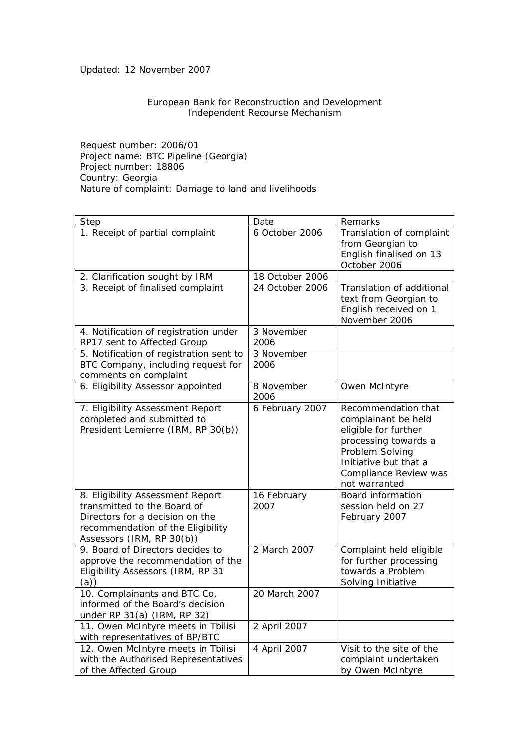Updated: 12 November 2007

## European Bank for Reconstruction and Development Independent Recourse Mechanism

Request number: 2006/01 Project name: BTC Pipeline (Georgia) Project number: 18806 Country: Georgia Nature of complaint: Damage to land and livelihoods

| Step                                                                                                                                                                 | Date                | Remarks                                                                                                                                                                          |
|----------------------------------------------------------------------------------------------------------------------------------------------------------------------|---------------------|----------------------------------------------------------------------------------------------------------------------------------------------------------------------------------|
| 1. Receipt of partial complaint                                                                                                                                      | 6 October 2006      | Translation of complaint<br>from Georgian to<br>English finalised on 13<br>October 2006                                                                                          |
| 2. Clarification sought by IRM                                                                                                                                       | 18 October 2006     |                                                                                                                                                                                  |
| 3. Receipt of finalised complaint                                                                                                                                    | 24 October 2006     | Translation of additional<br>text from Georgian to<br>English received on 1<br>November 2006                                                                                     |
| 4. Notification of registration under<br>RP17 sent to Affected Group                                                                                                 | 3 November<br>2006  |                                                                                                                                                                                  |
| 5. Notification of registration sent to<br>BTC Company, including request for<br>comments on complaint                                                               | 3 November<br>2006  |                                                                                                                                                                                  |
| 6. Eligibility Assessor appointed                                                                                                                                    | 8 November<br>2006  | Owen McIntyre                                                                                                                                                                    |
| 7. Eligibility Assessment Report<br>completed and submitted to<br>President Lemierre (IRM, RP 30(b))                                                                 | 6 February 2007     | Recommendation that<br>complainant be held<br>eligible for further<br>processing towards a<br>Problem Solving<br>Initiative but that a<br>Compliance Review was<br>not warranted |
| 8. Eligibility Assessment Report<br>transmitted to the Board of<br>Directors for a decision on the<br>recommendation of the Eligibility<br>Assessors (IRM, RP 30(b)) | 16 February<br>2007 | <b>Board information</b><br>session held on 27<br>February 2007                                                                                                                  |
| 9. Board of Directors decides to<br>approve the recommendation of the<br>Eligibility Assessors (IRM, RP 31<br>(a))                                                   | 2 March 2007        | Complaint held eligible<br>for further processing<br>towards a Problem<br>Solving Initiative                                                                                     |
| 10. Complainants and BTC Co,<br>informed of the Board's decision<br>under RP 31(a) (IRM, RP 32)                                                                      | 20 March 2007       |                                                                                                                                                                                  |
| 11. Owen McIntyre meets in Tbilisi<br>with representatives of BP/BTC                                                                                                 | 2 April 2007        |                                                                                                                                                                                  |
| 12. Owen McIntyre meets in Tbilisi<br>with the Authorised Representatives<br>of the Affected Group                                                                   | 4 April 2007        | Visit to the site of the<br>complaint undertaken<br>by Owen McIntyre                                                                                                             |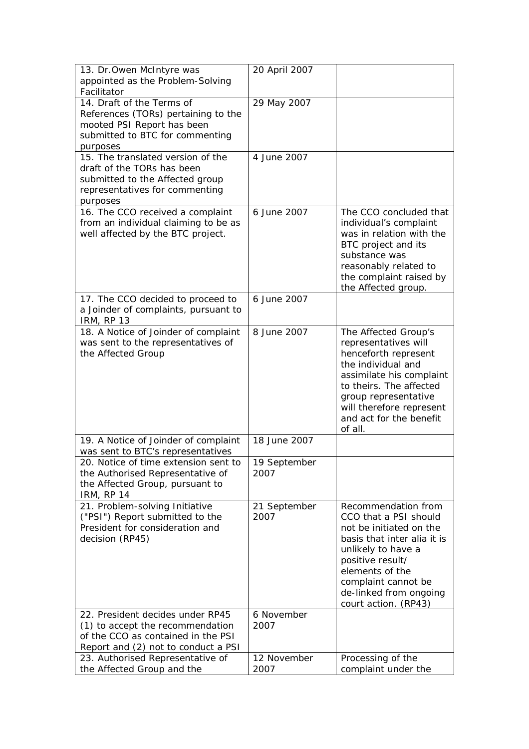| 13. Dr. Owen McIntyre was                                 | 20 April 2007 |                                                     |
|-----------------------------------------------------------|---------------|-----------------------------------------------------|
| appointed as the Problem-Solving                          |               |                                                     |
| Facilitator                                               |               |                                                     |
| 14. Draft of the Terms of                                 | 29 May 2007   |                                                     |
| References (TORs) pertaining to the                       |               |                                                     |
| mooted PSI Report has been                                |               |                                                     |
| submitted to BTC for commenting                           |               |                                                     |
| purposes                                                  |               |                                                     |
| 15. The translated version of the                         | 4 June 2007   |                                                     |
| draft of the TORs has been                                |               |                                                     |
| submitted to the Affected group                           |               |                                                     |
| representatives for commenting                            |               |                                                     |
| purposes                                                  |               |                                                     |
| 16. The CCO received a complaint                          | 6 June 2007   | The CCO concluded that                              |
| from an individual claiming to be as                      |               | individual's complaint                              |
| well affected by the BTC project.                         |               | was in relation with the                            |
|                                                           |               | BTC project and its                                 |
|                                                           |               | substance was                                       |
|                                                           |               |                                                     |
|                                                           |               | reasonably related to                               |
|                                                           |               | the complaint raised by                             |
|                                                           | 6 June 2007   | the Affected group.                                 |
| 17. The CCO decided to proceed to                         |               |                                                     |
| a Joinder of complaints, pursuant to<br><b>IRM, RP 13</b> |               |                                                     |
|                                                           | 8 June 2007   |                                                     |
| 18. A Notice of Joinder of complaint                      |               | The Affected Group's                                |
| was sent to the representatives of                        |               | representatives will                                |
| the Affected Group                                        |               | henceforth represent<br>the individual and          |
|                                                           |               | assimilate his complaint                            |
|                                                           |               | to theirs. The affected                             |
|                                                           |               |                                                     |
|                                                           |               | group representative                                |
|                                                           |               | will therefore represent<br>and act for the benefit |
|                                                           |               | of all.                                             |
| 19. A Notice of Joinder of complaint                      | 18 June 2007  |                                                     |
| was sent to BTC's representatives                         |               |                                                     |
| 20. Notice of time extension sent to                      | 19 September  |                                                     |
| the Authorised Representative of                          | 2007          |                                                     |
| the Affected Group, pursuant to                           |               |                                                     |
| <b>IRM, RP 14</b>                                         |               |                                                     |
| 21. Problem-solving Initiative                            | 21 September  | Recommendation from                                 |
| ("PSI") Report submitted to the                           | 2007          | CCO that a PSI should                               |
| President for consideration and                           |               | not be initiated on the                             |
| decision (RP45)                                           |               | basis that inter alia it is                         |
|                                                           |               | unlikely to have a                                  |
|                                                           |               | positive result/                                    |
|                                                           |               | elements of the                                     |
|                                                           |               | complaint cannot be                                 |
|                                                           |               | de-linked from ongoing                              |
|                                                           |               | court action. (RP43)                                |
| 22. President decides under RP45                          | 6 November    |                                                     |
| (1) to accept the recommendation                          | 2007          |                                                     |
| of the CCO as contained in the PSI                        |               |                                                     |
| Report and (2) not to conduct a PSI                       |               |                                                     |
| 23. Authorised Representative of                          | 12 November   | Processing of the                                   |
| the Affected Group and the                                | 2007          | complaint under the                                 |